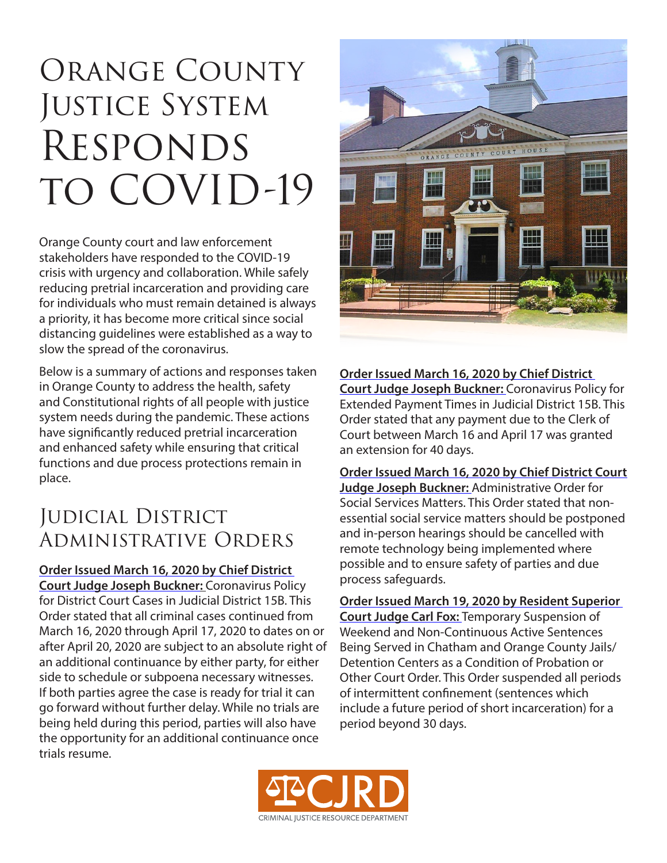# Orange County JUSTICE SYSTEM **RESPONDS** to COVID-19

Orange County court and law enforcement stakeholders have responded to the COVID-19 crisis with urgency and collaboration. While safely reducing pretrial incarceration and providing care for individuals who must remain detained is always a priority, it has become more critical since social distancing guidelines were established as a way to slow the spread of the coronavirus.

Below is a summary of actions and responses taken in Orange County to address the health, safety and Constitutional rights of all people with justice system needs during the pandemic. These actions have significantly reduced pretrial incarceration and enhanced safety while ensuring that critical functions and due process protections remain in place.

## Judicial District Administrative Orders

**[Order Issued March 16, 2020 by Chief District](https://www.nccourts.gov/assets/documents/local-rules-forms/COVID19%20and%20Criminal%20cases.pdf?ml1zTlkobxlVz8diVMYHQfnCrw16gDW0)  [Court Judge Joseph Buckner:](https://www.nccourts.gov/assets/documents/local-rules-forms/COVID19%20and%20Criminal%20cases.pdf?ml1zTlkobxlVz8diVMYHQfnCrw16gDW0)** Coronavirus Policy for District Court Cases in Judicial District 15B. This Order stated that all criminal cases continued from March 16, 2020 through April 17, 2020 to dates on or after April 20, 2020 are subject to an absolute right of an additional continuance by either party, for either side to schedule or subpoena necessary witnesses. If both parties agree the case is ready for trial it can go forward without further delay. While no trials are being held during this period, parties will also have the opportunity for an additional continuance once trials resume.



**[Order Issued March 16, 2020 by Chief District](https://www.nccourts.gov/assets/documents/local-rules-forms/COVID19%20and%20extended%20payment%20%5B.%20.%20.%5D.pdf?tpyLybVXfmOo.EbgmEegbUngXRmjm7RJ)  [Court Judge Joseph Buckner:](https://www.nccourts.gov/assets/documents/local-rules-forms/COVID19%20and%20extended%20payment%20%5B.%20.%20.%5D.pdf?tpyLybVXfmOo.EbgmEegbUngXRmjm7RJ)** Coronavirus Policy for Extended Payment Times in Judicial District 15B. This Order stated that any payment due to the Clerk of Court between March 16 and April 17 was granted an extension for 40 days.

**[Order Issued March 16, 2020 by Chief District Court](https://www.nccourts.gov/assets/documents/local-rules-forms/COVID19%20and%20Orange%20DSS%20matters.pdf?kO9Q6uY3jrCORVpwah5UXHl65tdfx3Su)  [Judge Joseph Buckner:](https://www.nccourts.gov/assets/documents/local-rules-forms/COVID19%20and%20Orange%20DSS%20matters.pdf?kO9Q6uY3jrCORVpwah5UXHl65tdfx3Su)** Administrative Order for Social Services Matters. This Order stated that nonessential social service matters should be postponed and in-person hearings should be cancelled with remote technology being implemented where possible and to ensure safety of parties and due process safeguards.

**[Order Issued March 19, 2020 by Resident Superior](https://www.nccourts.gov/assets/documents/local-rules-forms/Administrative%20Order%20Suspending%20%5B.%20.%20.%5D_0.pdf?o_I5EutchBZS3Zp91brfLVScVBKbQfFV)  [Court Judge Carl Fox:](https://www.nccourts.gov/assets/documents/local-rules-forms/Administrative%20Order%20Suspending%20%5B.%20.%20.%5D_0.pdf?o_I5EutchBZS3Zp91brfLVScVBKbQfFV)** Temporary Suspension of Weekend and Non-Continuous Active Sentences Being Served in Chatham and Orange County Jails/ Detention Centers as a Condition of Probation or Other Court Order. This Order suspended all periods of intermittent confinement (sentences which include a future period of short incarceration) for a period beyond 30 days.

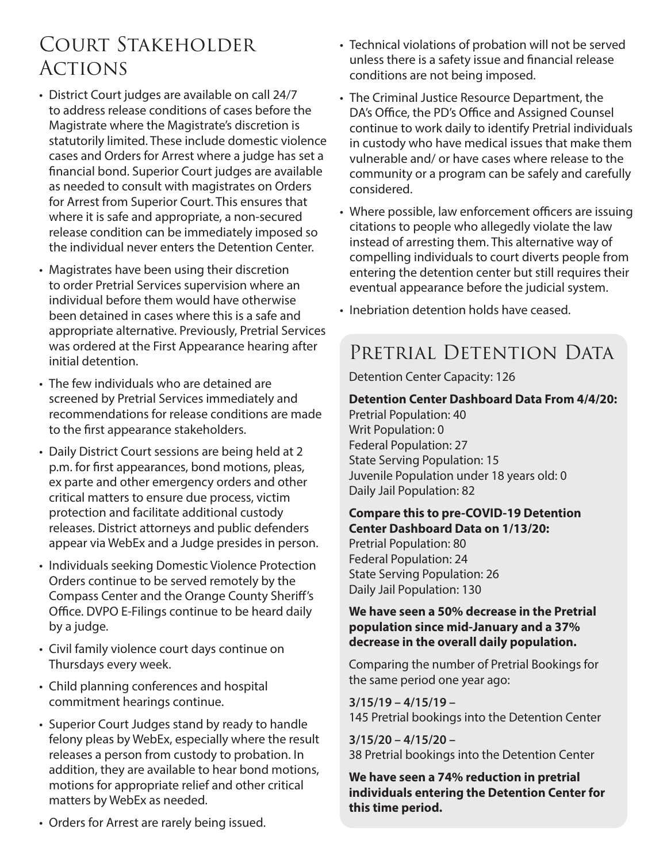## Court Stakeholder **ACTIONS**

- District Court judges are available on call 24/7 to address release conditions of cases before the Magistrate where the Magistrate's discretion is statutorily limited. These include domestic violence cases and Orders for Arrest where a judge has set a financial bond. Superior Court judges are available as needed to consult with magistrates on Orders for Arrest from Superior Court. This ensures that where it is safe and appropriate, a non-secured release condition can be immediately imposed so the individual never enters the Detention Center.
- Magistrates have been using their discretion to order Pretrial Services supervision where an individual before them would have otherwise been detained in cases where this is a safe and appropriate alternative. Previously, Pretrial Services was ordered at the First Appearance hearing after initial detention.
- The few individuals who are detained are screened by Pretrial Services immediately and recommendations for release conditions are made to the first appearance stakeholders.
- Daily District Court sessions are being held at 2 p.m. for first appearances, bond motions, pleas, ex parte and other emergency orders and other critical matters to ensure due process, victim protection and facilitate additional custody releases. District attorneys and public defenders appear via WebEx and a Judge presides in person.
- Individuals seeking Domestic Violence Protection Orders continue to be served remotely by the Compass Center and the Orange County Sheriff's Office. DVPO E-Filings continue to be heard daily by a judge.
- Civil family violence court days continue on Thursdays every week.
- Child planning conferences and hospital commitment hearings continue.
- Superior Court Judges stand by ready to handle felony pleas by WebEx, especially where the result releases a person from custody to probation. In addition, they are available to hear bond motions, motions for appropriate relief and other critical matters by WebEx as needed.
- Technical violations of probation will not be served unless there is a safety issue and financial release conditions are not being imposed.
- The Criminal Justice Resource Department, the DA's Office, the PD's Office and Assigned Counsel continue to work daily to identify Pretrial individuals in custody who have medical issues that make them vulnerable and/ or have cases where release to the community or a program can be safely and carefully considered.
- Where possible, law enforcement officers are issuing citations to people who allegedly violate the law instead of arresting them. This alternative way of compelling individuals to court diverts people from entering the detention center but still requires their eventual appearance before the judicial system.
- Inebriation detention holds have ceased.

## PRETRIAL DETENTION DATA

### Detention Center Capacity: 126

#### **Detention Center Dashboard Data From 4/4/20:**

Pretrial Population: 40 Writ Population: 0 Federal Population: 27 State Serving Population: 15 Juvenile Population under 18 years old: 0 Daily Jail Population: 82

#### **Compare this to pre-COVID-19 Detention Center Dashboard Data on 1/13/20:**

Pretrial Population: 80 Federal Population: 24 State Serving Population: 26 Daily Jail Population: 130

#### **We have seen a 50% decrease in the Pretrial population since mid-January and a 37% decrease in the overall daily population.**

Comparing the number of Pretrial Bookings for the same period one year ago:

**3/15/19 – 4/15/19 –**  145 Pretrial bookings into the Detention Center

**3/15/20 – 4/15/20 –**  38 Pretrial bookings into the Detention Center

**We have seen a 74% reduction in pretrial individuals entering the Detention Center for this time period.**

• Orders for Arrest are rarely being issued.